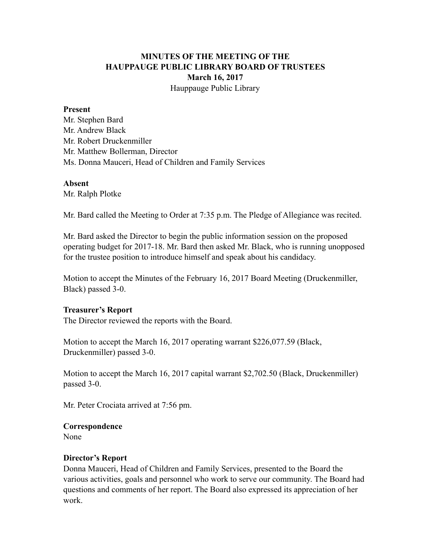## **MINUTES OF THE MEETING OF THE HAUPPAUGE PUBLIC LIBRARY BOARD OF TRUSTEES March 16, 2017** Hauppauge Public Library

#### **Present**

Mr. Stephen Bard Mr. Andrew Black Mr. Robert Druckenmiller Mr. Matthew Bollerman, Director Ms. Donna Mauceri, Head of Children and Family Services

#### **Absent**

Mr. Ralph Plotke

Mr. Bard called the Meeting to Order at 7:35 p.m. The Pledge of Allegiance was recited.

Mr. Bard asked the Director to begin the public information session on the proposed operating budget for 2017-18. Mr. Bard then asked Mr. Black, who is running unopposed for the trustee position to introduce himself and speak about his candidacy.

Motion to accept the Minutes of the February 16, 2017 Board Meeting (Druckenmiller, Black) passed 3-0.

### **Treasurer's Report**

The Director reviewed the reports with the Board.

Motion to accept the March 16, 2017 operating warrant \$226,077.59 (Black, Druckenmiller) passed 3-0.

Motion to accept the March 16, 2017 capital warrant \$2,702.50 (Black, Druckenmiller) passed 3-0.

Mr. Peter Crociata arrived at 7:56 pm.

#### **Correspondence**

None

### **Director's Report**

Donna Mauceri, Head of Children and Family Services, presented to the Board the various activities, goals and personnel who work to serve our community. The Board had questions and comments of her report. The Board also expressed its appreciation of her work.